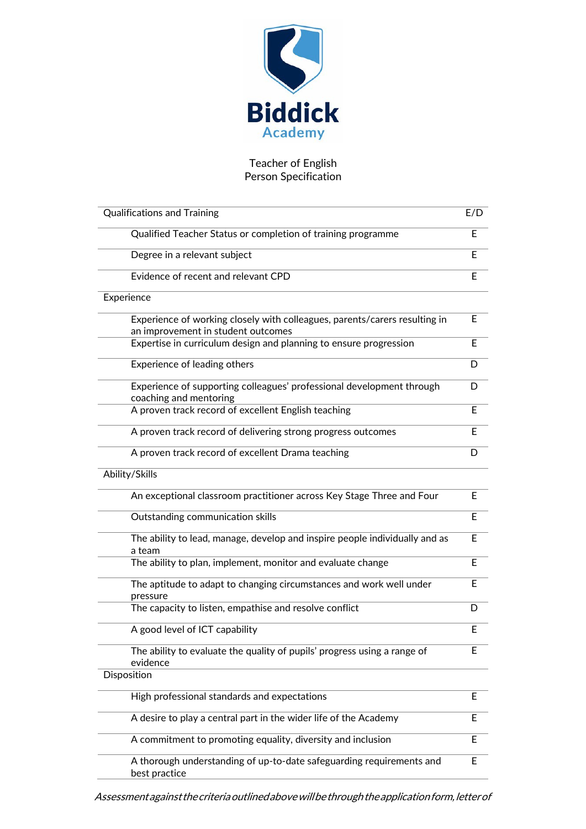

## Teacher of English Person Specification

| <b>Qualifications and Training</b>                                                                               | E/D |
|------------------------------------------------------------------------------------------------------------------|-----|
| Qualified Teacher Status or completion of training programme                                                     | E   |
| Degree in a relevant subject                                                                                     | Е   |
| Evidence of recent and relevant CPD                                                                              | E   |
| Experience                                                                                                       |     |
| Experience of working closely with colleagues, parents/carers resulting in<br>an improvement in student outcomes | Е   |
| Expertise in curriculum design and planning to ensure progression                                                | E   |
| Experience of leading others                                                                                     | D   |
| Experience of supporting colleagues' professional development through<br>coaching and mentoring                  | D   |
| A proven track record of excellent English teaching                                                              | E   |
| A proven track record of delivering strong progress outcomes                                                     | E   |
| A proven track record of excellent Drama teaching                                                                | D   |
| Ability/Skills                                                                                                   |     |
| An exceptional classroom practitioner across Key Stage Three and Four                                            | E   |
| Outstanding communication skills                                                                                 | E   |
| The ability to lead, manage, develop and inspire people individually and as<br>a team                            | Е   |
| The ability to plan, implement, monitor and evaluate change                                                      | Е   |
| The aptitude to adapt to changing circumstances and work well under<br>pressure                                  | E   |
| The capacity to listen, empathise and resolve conflict                                                           | D   |
| A good level of ICT capability                                                                                   | E   |
| The ability to evaluate the quality of pupils' progress using a range of<br>evidence                             | F.  |
| Disposition                                                                                                      |     |
| High professional standards and expectations                                                                     | E   |
| A desire to play a central part in the wider life of the Academy                                                 | E   |
| A commitment to promoting equality, diversity and inclusion                                                      | E   |
| A thorough understanding of up-to-date safeguarding requirements and<br>best practice                            | E   |

Assessmentagainstthecriteriaoutlinedabovewillbethroughtheapplicationform,letterof